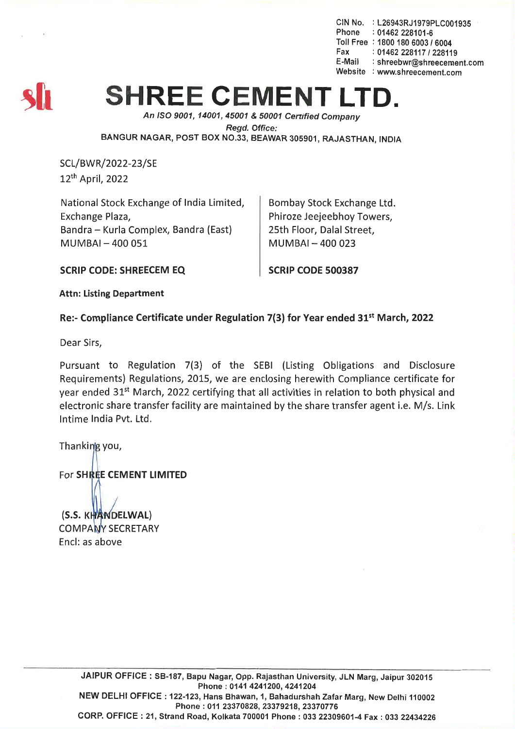CIN No. : L26943RJ1979PLC001935 Phone : 01462 228101-6 Toll Free : 1800 180 6003 *16004* Fax: *01462228117/228119* E-Mail : shreebwr@shreecement.com Website : www.shreecement.com



## **SHREE CEMENT**

*An ISO 9001, 14001,45001* & *50001 Cenified Company Regd. Office:* BANGUR NAGAR, POST BOX NO.33, BEAWAR 305901, RAJASTHAN, INDIA

SCL/BWR/2022-23/SE 12th April, 2022

National Stock Exchange of India Limited, Exchange Plaza, Bandra - Kurla Complex, Bandra (East)  $MUMBAI - 400051$ 

Bombay Stock Exchange Ltd. Phiroze Jeejeebhoy Towers, 25th Floor, Dalal Street,  $MUMBAI - 400023$ 

SCRIP CODE: SHREECEM EQ SCRIP CODE 500387

Attn: Listing Department

## Re:- Compliance Certificate under Regulation 7(3) for Year ended  $31^{st}$  March, 2022

Dear Sirs,

Pursuant to Regulation 7(3) of the SEBI (Listing Obligations and Disclosure Requirements) Regulations, 2015, we are enclosing herewith Compliance certificate for year ended 31st March, 2022 certifying that all activities in relation to both physical and electronic share transfer facility are maintained by the share transfer agent i.e. M/s. Link Intime India Pvt. Ltd.

Thanking you,

For SHREE CEMENT LIMITED

(S.S. KHANDELWAL) **COMPANY SECRETARY** Encl: as above